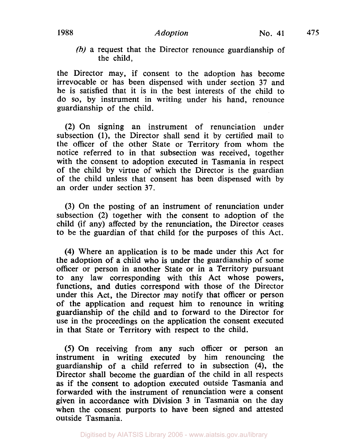(b) a request that the Director renounce guardianship of the child,

the Director may, if consent to the adoption has become irrevocable or has been dispensed with under section **37** and he is satisfied that it is in the best interests of the child to do so, by instrument in writing under his hand, renounce guardianship of the child.

**(2)** On signing an instrument of renunciation under subsection **(1),** the Director shall send it by certified mail to the officer of the other State or Territory from whom the notice referred to in that subsection was received, together with the consent to adoption executed in Tasmania in respect of the child by virtue of which the Director is the guardian of the child unless that consent has been dispensed with by an order under section **37.** 

**(3)** On the posting of an instrument of renunciation under subsection (2) together with the consent to adoption of the child (if any) affected by the renunciation, the Director ceases to be the guardian of that child for the purposes of this Act.

**(4)** Where an application is to be made under this Act for the adoption of a child who is under the guardianship of some officer or person in another State or in a Territory pursuant to any law corresponding with this Act whose powers, functions, and duties correspond with those of the Director under this Act, the Director may notify that officer or person of the application and request him to renounce in writing guardianship of the child and to forward to the Director for use in the proceedings on the application the consent executed in that State or Territory with respect to the child.

*(5)* On receiving from any such officer or person an instrument in writing executed by him renouncing the guardianship of a child referred to in subsection **(4),** the Director shall become the guardian of the child in all respects as if the consent to adoption executed outside Tasmania and forwarded with the instrument of renunciation were a consent given in accordance with Division 3 in Tasmania on the day when the consent purports to have been signed and attested outside Tasmania.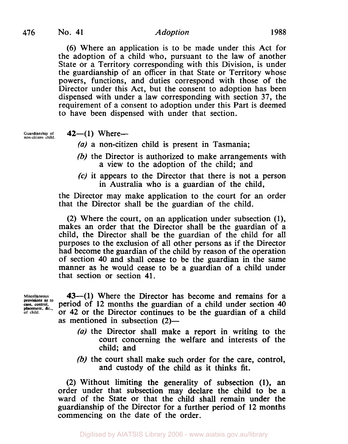## **47 6** No. **41** *Adoption* **1988**

(6) Where an application is to be made under this Act for the adoption of a child who, pursuant to the law of another State or a Territory corresponding with this Division, is under the guardianship of an officer in that State or Territory whose powers, functions, and duties correspond with those of the Director under this Act, but the consent to adoption has been dispensed with under a law corresponding with section 37, the requirement of a consent to adoption under this Part is deemed to have been dispensed with under that section.

- **Guardianship of 42-( 1)** Where- **non-citizen child.** 
	- *(a)* a non-citizen child is present in Tasmania;
	- (b) the Director is authorized to make arrangements with a view to the adoption of the child; and
	- **(c)** it appears to the Director that there is not a person in Australia who is a guardian of the child,

the Director may make application to the court for an order that the Director shall be the guardian of the child.

**(2)** Where the court, on an application under subsection **(l),**  makes an order that the Director shall be the guardian of a child, the Director shall be the guardian of the child for all purposes to the exclusion of all other persons as if the Director had become the guardian of the child by reason of the operation of section **40** and shall cease to be the guardian in the same manner as he would cease to be a guardian of a child under that section or section **41.** 

**Miscellaneous care, control. of child provisions as to placement. &c.,** 

**43-(1)** Where the Director has become and remains for a period of **12** months the guardian of a child under section **40**  or **42** or the Director continues to be the guardian of a child as mentioned in subsection  $(2)$ —

- *(a)* the Director shall make a report in writing to the court concerning the welfare and interests of the child; and
- (b) the court shall make such order for the care, control, and custody of the child as it thinks fit.

**(2)** Without limiting the generality of subsection **(1),** an order under that subsection may declare the child to be a ward of the State or that the child shall remain under the guardianship of the Director for a further period of **12** months commencing on the date of the order.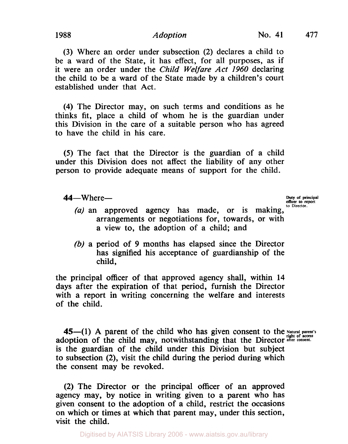(3) Where an order under subsection (2) declares a child to be a ward of the State, it has effect, for all purposes, as if it were an order under the *Child Welfare Act 1960* declaring the child to be a ward of the State made by a children's court established under that Act.

**(4)** The Director may, on such terms and conditions as he thinks fit, place a child of whom he is the guardian under this Division in the care of a suitable person who has agreed to have the child in his care.

*(5)* The fact that the Director is the guardian of a child under this Division does not affect the liability of any other person to provide adequate means of support for the child.

**44**—Where— **only of principal and**  $\frac{1}{2}$  **of principal**  $\frac{1}{2}$  **of principal officer to report <b>of to Director.** 

- (a) an approved agency has made, or is making, arrangements or negotiations for, towards, or with a view to, the adoption of a child; and
- (b) a period of 9 months has elapsed since the Director has signified his acceptance of guardianship of the child,

the principal officer of that approved agency shall, within **14**  days after the expiration of that period, furnish the Director with a report in writing concerning the welfare and interests of the child.

**45**-(1) A parent of the child who has given consent to the Natural parent's adoption of the child may, notwithstanding that the Director after consent. is the guardian of the child under this Division but subject to subsection (2), visit the child during the period during which the consent may be revoked.

(2) The Director or the principal officer of an approved agency may, by notice in writing given to a parent who has given consent to the adoption of a child, restrict the occasions on which or times at which that parent may, under this section, visit the child.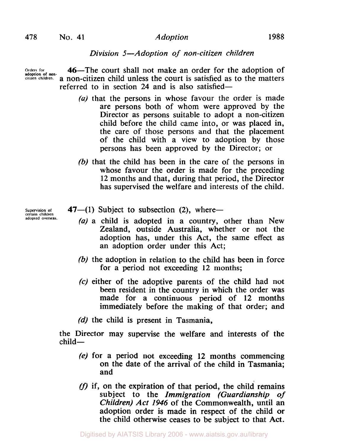## *Division 5-Adoption of non-citizen children*

**adoption of non-**

**Orders for** 46-The court shall not make an order for the adoption of a non-citizen child unless the court is satisfied as to the matters referred to in section **24** and is also satisfied-

- *(a)* that the persons in whose favour the order is made are persons both of whom were approved by the Director as persons suitable to adopt a non-citizen child before the child came into, or was placed in, the care of those persons and that the placement of the child with a view to adoption by those persons has been approved by the Director; or
- (b) that the child has been in the care of the persons in whose favour the order is made for the preceding 12 months and that, during that period, the Director has supervised the welfare and interests of the child.

- Supervision of  $47-(1)$  Subject to subsection (2), where-<br> **certain children**  $\sim$  *Children by a state of the children and a state of the construct* 
	- (a) a child is adopted in a country, other than New Zealand, outside Australia, whether or not the adoption has, under this Act, the same effect as an adoption order under this Act;
	- (b) the adoption in relation to the child has been in force for a period not exceeding 12 months;
	- (c) either of the adoptive parents of the child had not been resident in the country in which the order was made for a continuous period of 12 months immediately before the making of that order; and
	- *(d)* the child is present in Tasmania,

the Director may supervise the welfare and interests of the  $child-$ 

- *(e)* for a period not exceeding 12 months commencing on the date of the arrival of the child in Tasmania; and
- $(f)$  if, on the expiration of that period, the child remains subject to the *Immigration (Guardianship of Children) Act 1946* of the Commonwealth, until an adoption order is made in respect of the child or the child otherwise ceases to be subject to that Act.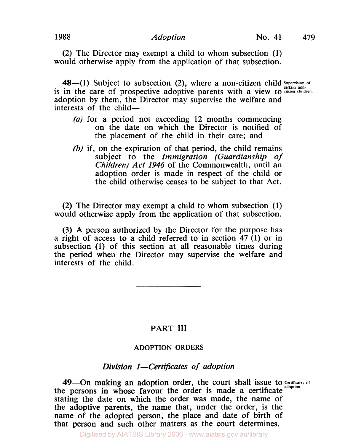(2) The Director may exempt a child to whom subsection (1) would otherwise apply from the application of that subsection.

48-(1) Subject to subsection (2), where a non-citizen child *Supervision of* is in the care of prospective adoptive parents with a view to citizen children. adoption by them, the Director may supervise the welfare and  $interests$  of the child-

- *(a)* for a period not exceeding 12 months commencing on the date on which the Director is notified of the placement of the child in their care; and
- (b) if, on the expiration of that period, the child remains subject to the *Immigration (Guardianship of Children) Act 1946* of the Commonwealth, until an adoption order is made in respect of the child or the child otherwise ceases to be subject to that Act.

(2) The Director may exempt a child to whom subsection (1) would otherwise apply from the application of that subsection.

(3) A person authorized by the Director for the purpose has a right of access to a child referred to in section **47** (1) or in subsection (1) of this section at all reasonable times during the period when the Director may supervise the welfare and interests of the child.

# PART **III**

## **ADOPTION ORDERS**

## *Division 1 -Certificates of adoption*

the persons in whose favour the order is made a certificate stating the date on which the order was made, the name of the adoptive parents, the name that, under the order, is the name of the adopted person, the place and date of birth of that person and such other matters as the court determines. 49-On making an adoption order, the court shall issue to *Certificates of*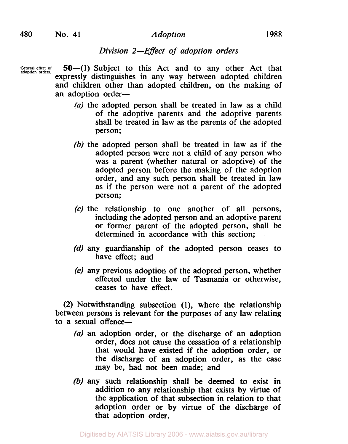# *Division 2-Effect of adoption orders*

General effect of 50-(1) Subject to this Act and to any other Act that expressly distinguishes in any way between adopted children and children other than adopted children, on the making of an adoption order-

- *(a)* the adopted person shall be treated in law as a child of the adoptive parents and the adoptive parents shall be treated in law as the parents of the adopted person;
- (b) the adopted person shall be treated in law as if the adopted person were not a child of any person who was a parent (whether natural or adoptive) of the adopted person before the making of the adoption order, and any such person shall be treated in law as if the person were not a parent of the adopted person;
- *(c)* the relationship to one another of all persons, including the adopted person and an adoptive parent or former parent of the adopted person, shall be determined in accordance with this section;
- (d) any guardianship of the adopted person ceases to have effect; and
- *(e)* any previous adoption of the adopted person, whether effected under the law of Tasmania or otherwise, ceases to have effect.

**(2)** Notwithstanding subsection **(1),** where the relationship between persons is relevant for the purposes of any law relating to a sexual offence-

- *(a)* an adoption order, or the discharge of an adoption order, does not cause the cessation of a relationship that would have existed if the adoption order, or the discharge of an adoption order, as the case may be, had not been made; and
- (b) any such relationship shall be deemed to exist in addition to any relationship that exists by virtue of the application of that subsection in relation to that adoption order or by virtue of the discharge of that adoption order.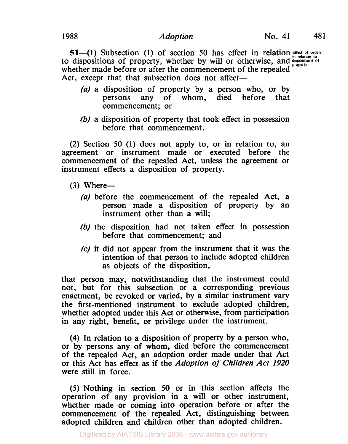**51**—(1) Subsection (1) of section 50 has effect in relation **Effect** of orders **dispositions of** to dispositions of property, whether by will or otherwise, and **property.** whether made before or after the commencement of the repealed Act, except that that subsection does not affect-

- (a) a disposition of property by a person who, or by persons any of whom, died before that commencement; or
- (b) a disposition of property that took effect in possession before that commencement.

(2) Section **50 (1)** does not apply to, or in relation to, an agreement or instrument made or executed before the commencement of the repealed Act, unless the agreement or instrument effects a disposition of property.

- $(3)$  Where-
	- (a) before the commencement of the repealed Act, a person made a disposition of property by an instrument other than a will;
	- (b) the disposition had not taken effect in possession before that commencement; and
	- **(c)** it did not appear from the instrument that it was the intention of that person to include adopted children as objects of the disposition,

that person may, notwithstanding that the instrument could not, but for this subsection or a corresponding previous enactment, be revoked or varied, by a similar instrument vary the first-mentioned instrument to exclude adopted children, whether adopted under this Act or otherwise, from participation in any right, benefit, or privilege under the instrument.

**(4)** In relation to a disposition of property by a person who, or by persons any of whom, died before the commencement of the repealed Act, an adoption order made under that Act or this Act has effect as if the *Adoption of Children Act 1920*  were still in force.

*(5)* Nothing in section *50* or in this section affects the operation of any provision in a will or other instrument, whether made or coming into operation before or after the commencement of the repealed Act, distinguishing between adopted children and children other than adopted children.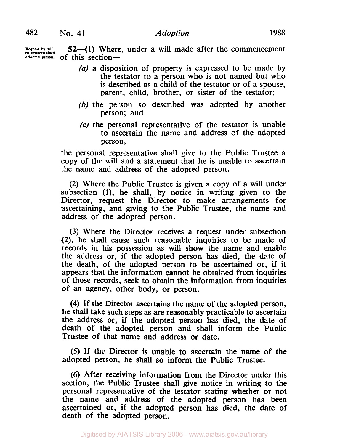**Bequest by will**  adopted person. of this section-**52—(1)** Where, under a will made after the commencement **to unascertained** 

- (a) a disposition of property is expressed to be made by the testator to a person who is not named but who is described as a child of the testator or of a spouse, parent, child, brother, or sister of the testator;
- (b) the person so described was adopted by another person; and
- *(c)* the personal representative of the testator is unable to ascertain the name and address of the adopted person,

the personal representative shall give to the Public Trustee a copy of the will and a statement that he is unable to ascertain the name and address of the adopted person.

(2) Where the Public Trustee is given a copy of a will under subsection (l), he shall, by notice in writing given to the Director, request the Director to make arrangements for ascertaining, and giving to the Public Trustee, the name and address of the adopted person.

(3) Where the Director receives a request under subsection (2), he shall cause such reasonable inquiries to be made of records in his possession as will show the name and enable the address or, if the adopted person has died, the date of the death, of the adopted person **to** be ascertained or, if it appears that the information cannot be obtained from inquiries of those records, seek to obtain the information from inquiries of an agency, other body, or person.

(4) If the Director ascertains the name of the adopted person, he shall take such steps as are reasonably practicable to ascertain the address or, if the adopted person has died, the date of death of the adopted person and shall inform the Public Trustee of that name and address or date.

*(5)* If the Director is unable to ascertain the name of the adopted person, he shall **so** inform the Public Trustee.

(6) After receiving information from the Director under this section, the Public Trustee shall give notice in writing to the personal representative of the testator stating whether or not the name and address of the adopted person has been ascertained or, if the adopted person has died, the date of death of the adopted person.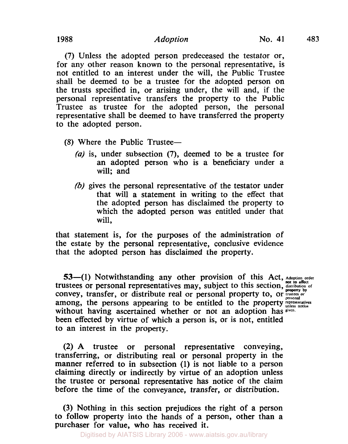# **1988** *Adoption* **No. 41 483**

(7) Unless the adopted person predeceased the testator or, for any other reason known to the personal representative, is not entitled to an interest under the will, the Public Trustee shall be deemed to be a trustee for the adopted person on the trusts specified in, or arising under, the will and, if the personal representative transfers the property to the Public Trustee as trustee for the adopted person, the personal representative shall be deemed to have transferred the property to the adopted person.

- (8) Where the Public Trustee-
	- (a) is, under subsection **(7),** deemed to be a trustee for an adopted person who is a beneficiary under a will; and
	- (b) gives the personal representative of the testator under that will a statement in writing to the effect that the adopted person has disclaimed the property to which the adopted person was entitled under that will,

that statement is, for the purposes of the administration of the estate by the personal representative, conclusive evidence that the adopted person has disclaimed the property.

53—(1) Notwithstanding any other provision of this Act, Adoption order **provision**  $\overline{A}$  and *n*  $\overline{A}$  and *n*  $\overline{A}$  and *n*  $\overline{A}$  and *n*  $\overline{A}$  and *n*  $\overline{A}$  and *n*  $\overline{A}$  and *n*  $\overline{A$ trustees Or personal representatives may, subject to this section, **distribution of**  convey, transfer, or distribute real or personal property to, or **property** by **property** by among, the persons appearing to be entitled to the property representatives without having ascertained whether or not an adoption has **given.** been effected by virtue of which a person is, or is not, entitled to an interest in the property.

**(2)** A trustee or personal representative conveying, transferring, or distributing real or personal property in the manner referred to in subsection (1) is not liable to a person claiming directly or indirectly by virtue of an adoption unless the trustee or personal representative has notice of the claim before the time of the conveyance, transfer, or distribution.

(3) Nothing in this section prejudices the right of a person to follow property into the hands of a person, other than a purchaser for value, who has received it.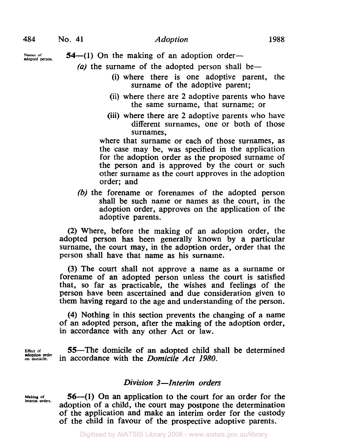Names of **54**-(1) On the making of an adoption order-

(a) the surname of the adopted person shall be—

- (i) where there is one adoptive parent, the surname of the adoptive parent;
- (ii) where there are 2 adoptive parents who have the same surname, that surname; or
- (iii) where there are 2 adoptive parents who have different surnames, one or both of those surnames,

where that surname or each of those surnames, as the case may be, was specified in the application for the adoption order as the proposed surname of the person and is approved by the court or such other surname as the court approves in the adoption order; and

*(b)* the forename or forenames of the adopted person shall be such name or names as the court, in the adoption order, approves on the application of the adoptive parents.

(2) Where, before the making of an adoption order, the adopted person has been generally known by a particular surname, the court may, in the adoption order, order that the person shall have that name as his surname.

(3) The court shall not approve a name as a surname or forename of an adopted person unless the court is satisfied that, **so** far as practicable, the wishes and feelings of the person have been ascertained and due consideration given to them having regard to the age and understanding of the person.

**(4)** Nothing in this section prevents the changing of a name of an adopted person, after the making of the adoption order, in accordance with any other Act or law.

**Effect of on domicile.**  55-The domicile of an adopted child shall be determined **adoption order** in accordance with the *Domicile Act 1980.* 

## *Division 3-Interim orders*

**Making of interim orders.** 

**56-(1)** On an application to the court for an order for the adoption of a child, the court may postpone the determination of the application and make an interim order for the custody of the child in favour of the prospective adoptive parents.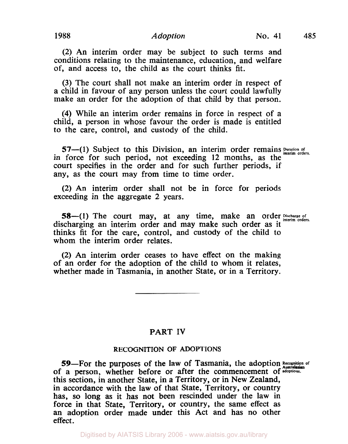**(2)** An interim order may be subject to such terms and conditions relating to the maintenance, education, and welfare of, and access to, the child as the court thinks fit.

(3) The court shall not make an interim order in respect of a child in favour of any person unless the court could lawfully make an order for the adoption of that child by that person.

**(4)** While an interim order remains in force in respect of a child, a person in whose favour the order is made is entitled to the care, control, and custody of the child.

**57**—(1) Subject to this Division, an interim order remains Duration of interim orders.<br>in force for such period, not exceeding 12 months, as the court specifies in the order and for such further periods, if any, as the court may from time to time order.

(2) An interim order shall not be in force for periods exceeding in the aggregate **2** years.

**58**-(1) The court may, at any time, make an order Discharge of discharging an interim order and may make such order as it thinks fit for the care, control, and custody of the child to whom the interim order relates.

(2) An interim order ceases to have effect on the making of an order for the adoption of the child to whom it relates, whether made in Tasmania, in another State, or in a Territory.

## PART IV

## **RECOGNITION OF ADOPTIONS**

59-For the purposes of the law of Tasmania, the adoption Recognition of of a person, whether before or after the commencement of adoptions this section, in another State, in a Territory, or in New Zealand, in accordance with the law of that State, Territory, or country has, **so** long as it has not been rescinded under the law in force in that State, Territory, or country, the same effect as an adoption order made under this Act and has no other effect.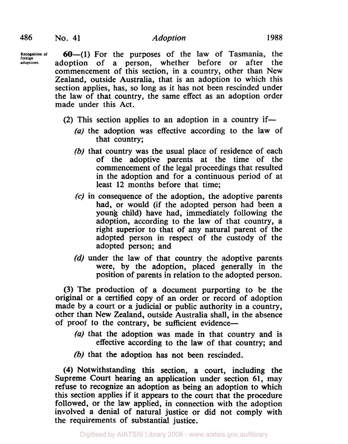**Recognition foreign adoptions.** 

**60—(1)** For the purposes of the law of Tasmania, the loption of a person, whether before or after the adoption of a person, whether before or after the commencement of this section, in a country, other than New Zealand, outside Australia, that is an adoption to which this section applies, has, so long as it has not been rescinded under the law of that country, the same effect as an adoption order made under this Act.

- **(2)** This section applies to an adoption in a country if-
	- (a) the adoption was effective according to the law of that country;
	- (b) that country was the usual place of residence of each of the adoptive parents at the time of the commencement of the legal proceedings that resulted in the adoption and for a continuous period of at least **12** months before that time;
	- *(c)* in consequence of the adoption, the adoptive parents had, or would (if the adopted person had been a young child) have had, immediately following the adoption, according to the law of that country, a right superior to that of any natural parent of the adopted person in respect of the custody of the adopted person; and
	- (d) under the law of that country the adoptive parents were, by the adoption, placed generally in the position of parents in relation to the adopted person.

(3) The production of a document purporting to be the original or a certified copy of an order or record of adoption made by a court or a judicial or public authority in a country, other than New Zealand, outside Australia shall, in the absence of proof to the contrary, be sufficient evidence—

- (a) that the adoption was made in that country and is effective according to the law of that country; and
- (b) that the adoption has not been rescinded.

**(4)** Notwithstanding this section, a court, including the Supreme Court hearing an application under section **61,** may refuse to recognize an adoption as being an adoption to which this section applies if it appears to the court that the procedure followed, or the law applied, in connection with the adoption involved a denial of natural justice or did not comply with the requirements of substantial justice.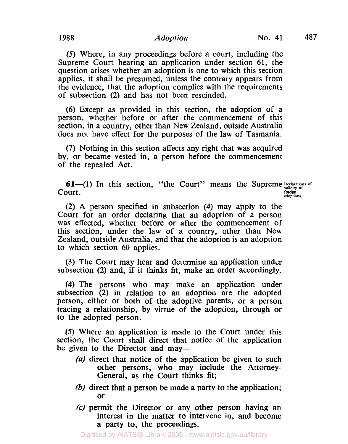# 1988 **Adoption** Mo. 41 487

*(5)* Where, in any proceedings before a court, including the Supreme Court hearing an application under section 61, the question arises whether an adoption is one to which this section applies, it shall be presumed, unless the contrary appears from the evidence, that the adoption complies with the requirements of subsection (2) and has not been rescinded.

(6) Except as provided in this section, the adoption of a person, whether before or after the commencement of this section, in a country, other than New Zealand, outside Australia does not have effect for the purposes of the law of Tasmania.

(7) Nothing in this section affects any right that was acquired by, or became vested in, a person before the commencement of the repealed Act.

**61**—(1) In this section, "the Court" means the Supreme *Declarations of* Court. **foreign foreign foreign foreign foreign** 

(2) A person specified in subsection **(4)** may apply to the Court for an order declaring that an adoption of a person was effected, whether before or after the commencement of this section, under the law of a country, other than New Zealand, outside Australia, and that the adoption is an adoption to which section 60 applies.

(3) The Court may hear and determine an application under subsection (2) and, if it thinks fit, make an order accordingly.

**(4)** The persons who may make an application under subsection (2) in relation to an adoption are the adopted person, either or both of the adoptive parents, or a person tracing a relationship, by virtue of the adoption, through or to the adopted person.

*(5)* Where an application is made to the Court under this section, the Court shall direct that notice of the application be given to the Director and may-

- *(a)* direct that notice of the application be given to such other persons, who may include the Attorney-General, as the Court thinks fit;
- (b) direct that a person be made a party to the application; or
- **(c)** permit the Director or any other person having an interest in the matter to intervene in, and become a party to, the proceedings.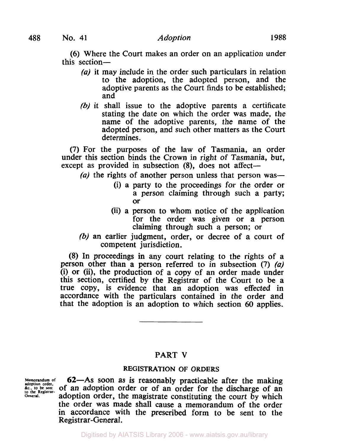(6) Where the Court makes an order on an application under this section-

- $(a)$  it may include in the order such particulars in relation to the adoption, the adopted person, and the adoptive parents as the Court finds to be established; and
- (b) it shall issue to the adoptive parents a certificate stating the date on which the order was made, the name of the adoptive parents, the name of the adopted person, and such other matters as the Court determines.

**(7)** For the purposes of the law of Tasmania, an order under this section binds the Crown in right of Tasmania, but, except as provided in subsection **(8),** does not affect-

 $(a)$  the rights of another person unless that person was-

- (i) a party to the proceedings for the order or a person claiming through such a party; or
- (ii) a person to whom notice of the application for the order was given or a person claiming through such a person; or
- (b) an earlier judgment, order, or decree of a court of competent jurisdiction.

(8) In proceedings in any court relating to the rights of a person other than a person referred to in subsection  $(7)$  (a) (i) or (ii), the production of a copy of an order made under this section, certified by the Registrar of the Court to be a true copy, is evidence that an adoption was effected in accordance with the particulars contained in the order and that the adoption is an adoption to which section 60 applies.

## PART **V**

### **REGISTRATION** OF **ORDERS**

**Memorandum of adoption order.**  *&c.,* **to be sent to the Registrar- General.** 

62-As soon as is reasonably practicable after the making of an adoption order or of an order for the discharge of an adoption order, the magistrate constituting the court by which the order was made shall cause a memorandum of the order in accordance with the prescribed form to be sent to the Registrar-General.